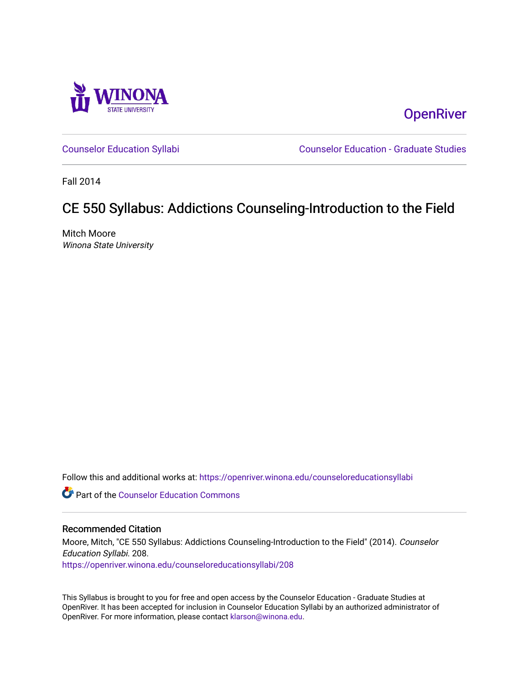

**OpenRiver** 

[Counselor Education Syllabi](https://openriver.winona.edu/counseloreducationsyllabi) [Counselor Education - Graduate Studies](https://openriver.winona.edu/counseloreducation) 

Fall 2014

# CE 550 Syllabus: Addictions Counseling-Introduction to the Field

Mitch Moore Winona State University

Follow this and additional works at: [https://openriver.winona.edu/counseloreducationsyllabi](https://openriver.winona.edu/counseloreducationsyllabi?utm_source=openriver.winona.edu%2Fcounseloreducationsyllabi%2F208&utm_medium=PDF&utm_campaign=PDFCoverPages)

Part of the [Counselor Education Commons](http://network.bepress.com/hgg/discipline/1278?utm_source=openriver.winona.edu%2Fcounseloreducationsyllabi%2F208&utm_medium=PDF&utm_campaign=PDFCoverPages) 

#### Recommended Citation

Moore, Mitch, "CE 550 Syllabus: Addictions Counseling-Introduction to the Field" (2014). Counselor Education Syllabi. 208. [https://openriver.winona.edu/counseloreducationsyllabi/208](https://openriver.winona.edu/counseloreducationsyllabi/208?utm_source=openriver.winona.edu%2Fcounseloreducationsyllabi%2F208&utm_medium=PDF&utm_campaign=PDFCoverPages)

This Syllabus is brought to you for free and open access by the Counselor Education - Graduate Studies at OpenRiver. It has been accepted for inclusion in Counselor Education Syllabi by an authorized administrator of OpenRiver. For more information, please contact [klarson@winona.edu](mailto:klarson@winona.edu).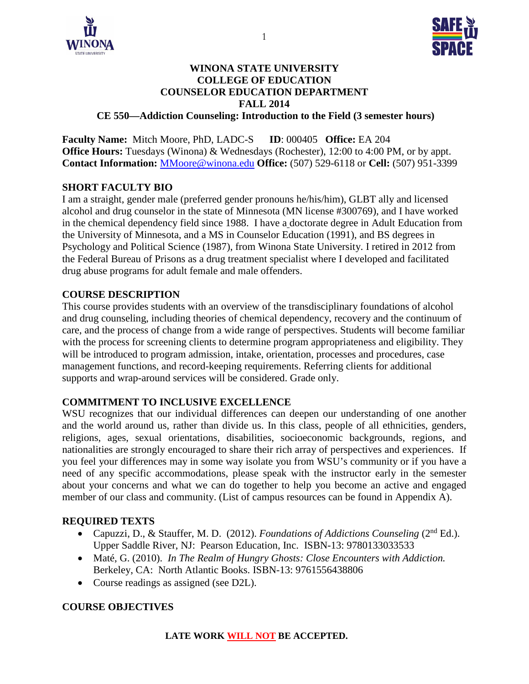



#### **WINONA STATE UNIVERSITY COLLEGE OF EDUCATION COUNSELOR EDUCATION DEPARTMENT FALL 2014 CE 550—Addiction Counseling: Introduction to the Field (3 semester hours)**

**Faculty Name:** Mitch Moore, PhD, LADC-S **ID**: 000405 **Office:** EA 204 **Office Hours:** Tuesdays (Winona) & Wednesdays (Rochester), 12:00 to 4:00 PM, or by appt. **Contact Information:** [MMoore@winona.edu](mailto:MMoore@winona.edu) **Office:** (507) 529-6118 or **Cell:** (507) 951-3399

#### **SHORT FACULTY BIO**

I am a straight, gender male (preferred gender pronouns he/his/him), GLBT ally and licensed alcohol and drug counselor in the state of Minnesota (MN license #300769), and I have worked in the chemical dependency field since 1988. I have a doctorate degree in Adult Education from the University of Minnesota, and a MS in Counselor Education (1991), and BS degrees in Psychology and Political Science (1987), from Winona State University. I retired in 2012 from the Federal Bureau of Prisons as a drug treatment specialist where I developed and facilitated drug abuse programs for adult female and male offenders.

## **COURSE DESCRIPTION**

This course provides students with an overview of the transdisciplinary foundations of alcohol and drug counseling, including theories of chemical dependency, recovery and the continuum of care, and the process of change from a wide range of perspectives. Students will become familiar with the process for screening clients to determine program appropriateness and eligibility. They will be introduced to program admission, intake, orientation, processes and procedures, case management functions, and record-keeping requirements. Referring clients for additional supports and wrap-around services will be considered. Grade only.

#### **COMMITMENT TO INCLUSIVE EXCELLENCE**

WSU recognizes that our individual differences can deepen our understanding of one another and the world around us, rather than divide us. In this class, people of all ethnicities, genders, religions, ages, sexual orientations, disabilities, socioeconomic backgrounds, regions, and nationalities are strongly encouraged to share their rich array of perspectives and experiences. If you feel your differences may in some way isolate you from WSU's community or if you have a need of any specific accommodations, please speak with the instructor early in the semester about your concerns and what we can do together to help you become an active and engaged member of our class and community. (List of campus resources can be found in Appendix A).

#### **REQUIRED TEXTS**

- Capuzzi, D., & Stauffer, M. D. (2012). *Foundations of Addictions Counseling* (2<sup>nd</sup> Ed.). Upper Saddle River, NJ: Pearson Education, Inc. ISBN-13: 9780133033533
- Maté, G. (2010). *In The Realm of Hungry Ghosts: Close Encounters with Addiction.*  Berkeley, CA: North Atlantic Books. ISBN-13: 9761556438806
- Course readings as assigned (see D2L).

## **COURSE OBJECTIVES**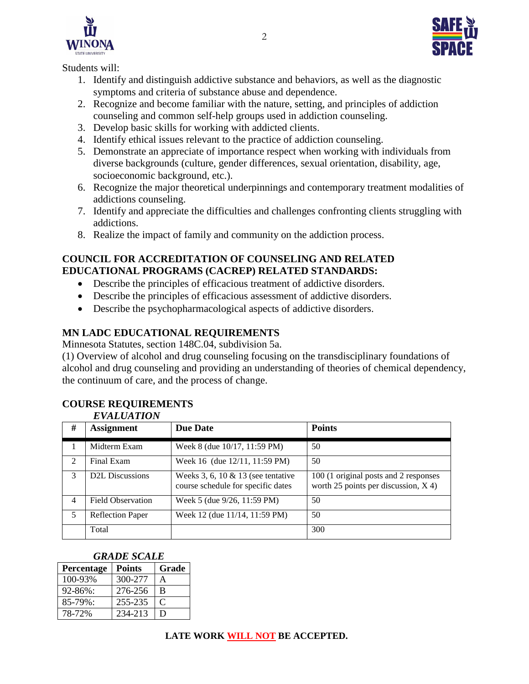



Students will:

- 1. Identify and distinguish addictive substance and behaviors, as well as the diagnostic symptoms and criteria of substance abuse and dependence.
- 2. Recognize and become familiar with the nature, setting, and principles of addiction counseling and common self-help groups used in addiction counseling.
- 3. Develop basic skills for working with addicted clients.
- 4. Identify ethical issues relevant to the practice of addiction counseling.
- 5. Demonstrate an appreciate of importance respect when working with individuals from diverse backgrounds (culture, gender differences, sexual orientation, disability, age, socioeconomic background, etc.).
- 6. Recognize the major theoretical underpinnings and contemporary treatment modalities of addictions counseling.
- 7. Identify and appreciate the difficulties and challenges confronting clients struggling with addictions.
- 8. Realize the impact of family and community on the addiction process.

# **COUNCIL FOR ACCREDITATION OF COUNSELING AND RELATED EDUCATIONAL PROGRAMS (CACREP) RELATED STANDARDS:**

- Describe the principles of efficacious treatment of addictive disorders.
- Describe the principles of efficacious assessment of addictive disorders.
- Describe the psychopharmacological aspects of addictive disorders.

# **MN LADC EDUCATIONAL REQUIREMENTS**

Minnesota Statutes, section 148C.04, subdivision 5a.

(1) Overview of alcohol and drug counseling focusing on the transdisciplinary foundations of alcohol and drug counseling and providing an understanding of theories of chemical dependency, the continuum of care, and the process of change.

#### **COURSE REQUIREMENTS** *EVALUATION*

|                | <i>EVALUATION</i>        |                                                                            |                                                                                 |
|----------------|--------------------------|----------------------------------------------------------------------------|---------------------------------------------------------------------------------|
| #              | <b>Assignment</b>        | <b>Due Date</b>                                                            | <b>Points</b>                                                                   |
|                | Midterm Exam             | Week 8 (due 10/17, 11:59 PM)                                               | 50                                                                              |
| 2              | Final Exam               | Week 16 (due 12/11, 11:59 PM)                                              | 50                                                                              |
| $\mathcal{F}$  | <b>D2L Discussions</b>   | Weeks 3, 6, 10 $&$ 13 (see tentative<br>course schedule for specific dates | 100 (1 original posts and 2 responses<br>worth 25 points per discussion, $X$ 4) |
| $\overline{4}$ | <b>Field Observation</b> | Week 5 (due 9/26, 11:59 PM)                                                | 50                                                                              |
| 5              | <b>Reflection Paper</b>  | Week 12 (due 11/14, 11:59 PM)                                              | 50                                                                              |
|                | Total                    |                                                                            | 300                                                                             |

#### *GRADE SCALE*

| Percentage    | <b>Points</b> | Grade |
|---------------|---------------|-------|
| 100-93%       | 300-277       | А     |
| $92 - 86\%$ : | 276-256       | B     |
| 85-79%:       | 255-235       | C     |
| 78-72%        | 234-213       | Ð     |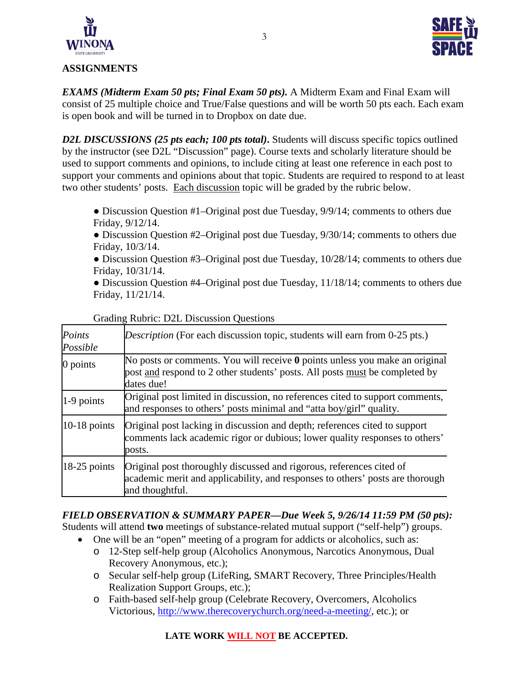



### **ASSIGNMENTS**

*EXAMS (Midterm Exam 50 pts; Final Exam 50 pts).* A Midterm Exam and Final Exam will consist of 25 multiple choice and True/False questions and will be worth 50 pts each. Each exam is open book and will be turned in to Dropbox on date due.

*D2L DISCUSSIONS (25 pts each; 100 pts total)***.** Students will discuss specific topics outlined by the instructor (see D2L "Discussion" page). Course texts and scholarly literature should be used to support comments and opinions, to include citing at least one reference in each post to support your comments and opinions about that topic. Students are required to respond to at least two other students' posts. Each discussion topic will be graded by the rubric below.

- Discussion Question #1–Original post due Tuesday, 9/9/14; comments to others due Friday, 9/12/14.
- Discussion Question #2–Original post due Tuesday, 9/30/14; comments to others due Friday, 10/3/14.
- Discussion Question #3–Original post due Tuesday, 10/28/14; comments to others due Friday, 10/31/14.

• Discussion Question #4–Original post due Tuesday, 11/18/14; comments to others due Friday, 11/21/14.

| Points<br>Possible | <i>Description</i> (For each discussion topic, students will earn from 0-25 pts.)                                                                                               |
|--------------------|---------------------------------------------------------------------------------------------------------------------------------------------------------------------------------|
| $0$ points         | No posts or comments. You will receive $\theta$ points unless you make an original<br>post and respond to 2 other students' posts. All posts must be completed by<br>dates due! |
| 1-9 points         | Original post limited in discussion, no references cited to support comments,<br>and responses to others' posts minimal and "atta boy/girl" quality.                            |
| $10-18$ points     | Original post lacking in discussion and depth; references cited to support<br>comments lack academic rigor or dubious; lower quality responses to others'<br>posts.             |
| $18-25$ points     | Original post thoroughly discussed and rigorous, references cited of<br>academic merit and applicability, and responses to others' posts are thorough<br>and thoughtful.        |

#### Grading Rubric: D2L Discussion Questions

*FIELD OBSERVATION & SUMMARY PAPER—Due Week 5, 9/26/14 11:59 PM (50 pts):* Students will attend **two** meetings of substance-related mutual support ("self-help") groups.

- One will be an "open" meeting of a program for addicts or alcoholics, such as:
	- o 12-Step self-help group (Alcoholics Anonymous, Narcotics Anonymous, Dual Recovery Anonymous, etc.);
	- o Secular self-help group (LifeRing, SMART Recovery, Three Principles/Health Realization Support Groups, etc.);
	- o Faith-based self-help group (Celebrate Recovery, Overcomers, Alcoholics Victorious, [http://www.therecoverychurch.org/need-a-meeting/,](http://www.therecoverychurch.org/need-a-meeting/) etc.); or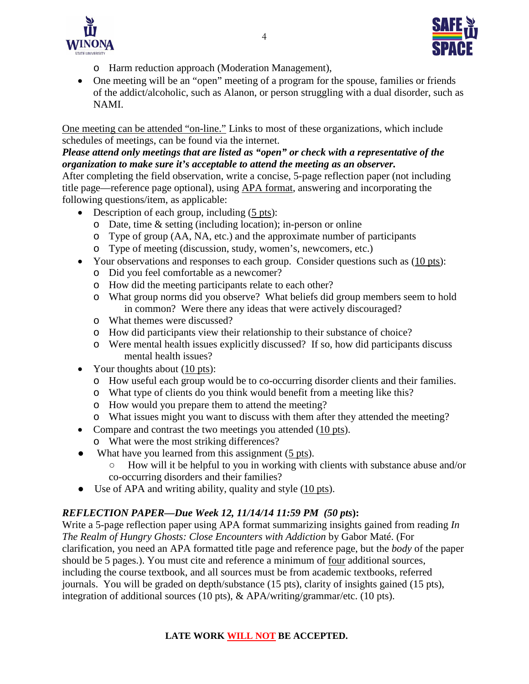



- o Harm reduction approach (Moderation Management),
- One meeting will be an "open" meeting of a program for the spouse, families or friends of the addict/alcoholic, such as Alanon, or person struggling with a dual disorder, such as NAMI.

One meeting can be attended "on-line." Links to most of these organizations, which include schedules of meetings, can be found via the internet.

# *Please attend only meetings that are listed as "open" or check with a representative of the organization to make sure it's acceptable to attend the meeting as an observer.*

After completing the field observation, write a concise, 5-page reflection paper (not including title page—reference page optional), using APA format, answering and incorporating the following questions/item, as applicable:

- Description of each group, including  $(5 \text{ pts})$ :
	- o Date, time & setting (including location); in-person or online
	- o Type of group (AA, NA, etc.) and the approximate number of participants
	- o Type of meeting (discussion, study, women's, newcomers, etc.)
- Your observations and responses to each group. Consider questions such as (10 pts):
	- o Did you feel comfortable as a newcomer?
	- o How did the meeting participants relate to each other?
	- o What group norms did you observe? What beliefs did group members seem to hold in common? Were there any ideas that were actively discouraged?
	- o What themes were discussed?
	- o How did participants view their relationship to their substance of choice?
	- o Were mental health issues explicitly discussed? If so, how did participants discuss mental health issues?
- Your thoughts about (10 pts):
	- o How useful each group would be to co-occurring disorder clients and their families.
	- o What type of clients do you think would benefit from a meeting like this?
	- o How would you prepare them to attend the meeting?
	- o What issues might you want to discuss with them after they attended the meeting?
- Compare and contrast the two meetings you attended (10 pts).
	- o What were the most striking differences?
- What have you learned from this assignment (5 pts).
	- How will it be helpful to you in working with clients with substance abuse and/or co-occurring disorders and their families?
- Use of APA and writing ability, quality and style (10 pts).

# *REFLECTION PAPER—Due Week 12, 11/14/14 11:59 PM (50 pts***):**

Write a 5-page reflection paper using APA format summarizing insights gained from reading *In The Realm of Hungry Ghosts: Close Encounters with Addiction* by Gabor Maté. (For clarification, you need an APA formatted title page and reference page, but the *body* of the paper should be 5 pages.). You must cite and reference a minimum of four additional sources, including the course textbook, and all sources must be from academic textbooks, referred journals. You will be graded on depth/substance (15 pts), clarity of insights gained (15 pts), integration of additional sources (10 pts), & APA/writing/grammar/etc. (10 pts).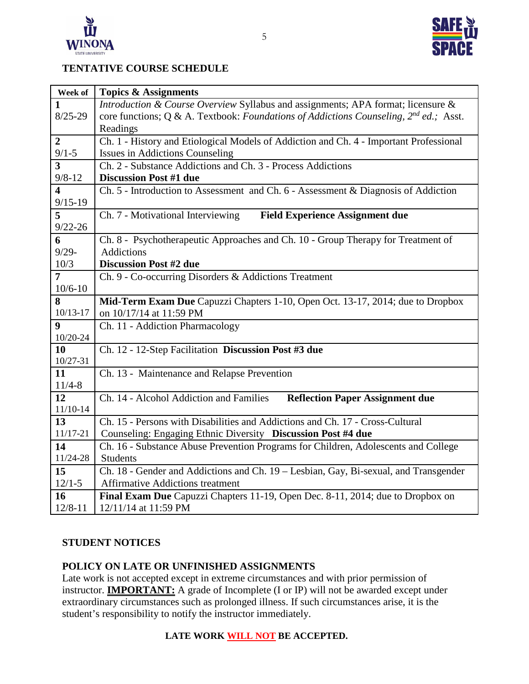



# **TENTATIVE COURSE SCHEDULE**

| Week of                                | <b>Topics &amp; Assignments</b>                                                            |  |  |
|----------------------------------------|--------------------------------------------------------------------------------------------|--|--|
| $\mathbf{1}$                           | Introduction & Course Overview Syllabus and assignments; APA format; licensure &           |  |  |
| $8/25 - 29$                            | core functions; Q & A. Textbook: Foundations of Addictions Counseling, $2^{nd}$ ed.; Asst. |  |  |
|                                        | Readings                                                                                   |  |  |
| $\overline{2}$                         | Ch. 1 - History and Etiological Models of Addiction and Ch. 4 - Important Professional     |  |  |
| $9/1 - 5$                              | <b>Issues in Addictions Counseling</b>                                                     |  |  |
| $\overline{\mathbf{3}}$                | Ch. 2 - Substance Addictions and Ch. 3 - Process Addictions                                |  |  |
| $9/8 - 12$                             | <b>Discussion Post #1 due</b>                                                              |  |  |
| $\overline{\mathbf{4}}$<br>$9/15 - 19$ | Ch. 5 - Introduction to Assessment and Ch. 6 - Assessment & Diagnosis of Addiction         |  |  |
| 5                                      | Ch. 7 - Motivational Interviewing<br><b>Field Experience Assignment due</b>                |  |  |
| $9/22 - 26$                            |                                                                                            |  |  |
| 6                                      | Ch. 8 - Psychotherapeutic Approaches and Ch. 10 - Group Therapy for Treatment of           |  |  |
| $9/29 -$                               | <b>Addictions</b>                                                                          |  |  |
| 10/3                                   | <b>Discussion Post #2 due</b>                                                              |  |  |
| $\overline{7}$                         | Ch. 9 - Co-occurring Disorders & Addictions Treatment                                      |  |  |
| $10/6 - 10$                            |                                                                                            |  |  |
| 8                                      | Mid-Term Exam Due Capuzzi Chapters 1-10, Open Oct. 13-17, 2014; due to Dropbox             |  |  |
| $10/13 - 17$                           | on 10/17/14 at 11:59 PM                                                                    |  |  |
| $\boldsymbol{9}$                       | Ch. 11 - Addiction Pharmacology                                                            |  |  |
| 10/20-24                               |                                                                                            |  |  |
| 10                                     | Ch. 12 - 12-Step Facilitation Discussion Post #3 due                                       |  |  |
| $10/27 - 31$                           |                                                                                            |  |  |
| 11                                     | Ch. 13 - Maintenance and Relapse Prevention                                                |  |  |
| $11/4 - 8$<br>12                       | Ch. 14 - Alcohol Addiction and Families                                                    |  |  |
| $11/10-14$                             | <b>Reflection Paper Assignment due</b>                                                     |  |  |
| 13                                     | Ch. 15 - Persons with Disabilities and Addictions and Ch. 17 - Cross-Cultural              |  |  |
| 11/17-21                               | Counseling: Engaging Ethnic Diversity Discussion Post #4 due                               |  |  |
| 14                                     | Ch. 16 - Substance Abuse Prevention Programs for Children, Adolescents and College         |  |  |
| 11/24-28                               | <b>Students</b>                                                                            |  |  |
| 15                                     | Ch. 18 - Gender and Addictions and Ch. 19 - Lesbian, Gay, Bi-sexual, and Transgender       |  |  |
| $12/1-5$                               | <b>Affirmative Addictions treatment</b>                                                    |  |  |
| 16                                     | Final Exam Due Capuzzi Chapters 11-19, Open Dec. 8-11, 2014; due to Dropbox on             |  |  |
| $12/8 - 11$                            | 12/11/14 at 11:59 PM                                                                       |  |  |

# **STUDENT NOTICES**

## **POLICY ON LATE OR UNFINISHED ASSIGNMENTS**

Late work is not accepted except in extreme circumstances and with prior permission of instructor. **IMPORTANT:** A grade of Incomplete (I or IP) will not be awarded except under extraordinary circumstances such as prolonged illness. If such circumstances arise, it is the student's responsibility to notify the instructor immediately.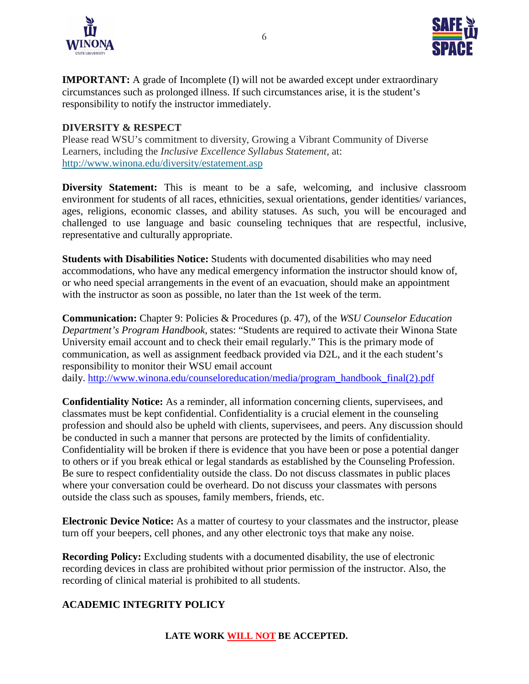



**IMPORTANT:** A grade of Incomplete (I) will not be awarded except under extraordinary circumstances such as prolonged illness. If such circumstances arise, it is the student's responsibility to notify the instructor immediately.

#### **DIVERSITY & RESPECT**

Please read WSU's commitment to diversity, Growing a Vibrant Community of Diverse Learners, including the *Inclusive Excellence Syllabus Statement*, at: <http://www.winona.edu/diversity/estatement.asp>

**Diversity Statement:** This is meant to be a safe, welcoming, and inclusive classroom environment for students of all races, ethnicities, sexual orientations, gender identities/ variances, ages, religions, economic classes, and ability statuses. As such, you will be encouraged and challenged to use language and basic counseling techniques that are respectful, inclusive, representative and culturally appropriate.

**Students with Disabilities Notice:** Students with documented disabilities who may need accommodations, who have any medical emergency information the instructor should know of, or who need special arrangements in the event of an evacuation, should make an appointment with the instructor as soon as possible, no later than the 1st week of the term.

**Communication:** Chapter 9: Policies & Procedures (p. 47), of the *WSU Counselor Education Department's Program Handbook,* states: "Students are required to activate their Winona State University email account and to check their email regularly." This is the primary mode of communication, as well as assignment feedback provided via D2L, and it the each student's responsibility to monitor their WSU email account daily. [http://www.winona.edu/counseloreducation/media/program\\_handbook\\_final\(2\).pdf](http://www.winona.edu/counseloreducation/media/program_handbook_final(2).pdf)

**Confidentiality Notice:** As a reminder, all information concerning clients, supervisees, and classmates must be kept confidential. Confidentiality is a crucial element in the counseling profession and should also be upheld with clients, supervisees, and peers. Any discussion should be conducted in such a manner that persons are protected by the limits of confidentiality. Confidentiality will be broken if there is evidence that you have been or pose a potential danger to others or if you break ethical or legal standards as established by the Counseling Profession. Be sure to respect confidentiality outside the class. Do not discuss classmates in public places where your conversation could be overheard. Do not discuss your classmates with persons outside the class such as spouses, family members, friends, etc.

**Electronic Device Notice:** As a matter of courtesy to your classmates and the instructor, please turn off your beepers, cell phones, and any other electronic toys that make any noise.

**Recording Policy:** Excluding students with a documented disability, the use of electronic recording devices in class are prohibited without prior permission of the instructor. Also, the recording of clinical material is prohibited to all students.

## **ACADEMIC INTEGRITY POLICY**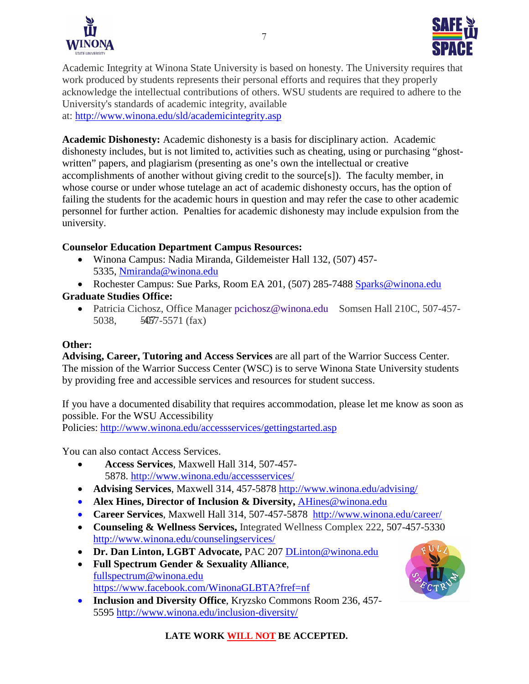



Academic Integrity at Winona State University is based on honesty. The University requires that work produced by students represents their personal efforts and requires that they properly acknowledge the intellectual contributions of others. WSU students are required to adhere to the University's standards of academic integrity, available at:<http://www.winona.edu/sld/academicintegrity.asp>

**Academic Dishonesty:** Academic dishonesty is a basis for disciplinary action. Academic dishonesty includes, but is not limited to, activities such as cheating, using or purchasing "ghostwritten" papers, and plagiarism (presenting as one's own the intellectual or creative accomplishments of another without giving credit to the source[s]). The faculty member, in whose course or under whose tutelage an act of academic dishonesty occurs, has the option of failing the students for the academic hours in question and may refer the case to other academic personnel for further action. Penalties for academic dishonesty may include expulsion from the university.

#### **Counselor Education Department Campus Resources:**

- Winona Campus: Nadia Miranda, Gildemeister Hall 132, (507) 457- 5335, [Nmiranda@winona.edu](mailto:Nmiranda@winona.edu)
- Rochester Campus: Sue Parks, Room EA 201, (507) 285-7488 [Sparks@winona.edu](mailto:Sparks@winona.edu)

# **Graduate Studies Office:**

• Patricia Cichosz, Office Manager [pcichosz@winona.edu](mailto:pcichosz@winona.edu?subject=Graduate%20Studies) Somsen Hall 210C, 507-457-5038,  $50\overline{507} - 5571$  (fax)

#### **Other:**

**Advising, Career, Tutoring and Access Services** are all part of the Warrior Success Center. The mission of the Warrior Success Center (WSC) is to serve Winona State University students by providing free and accessible services and resources for student success.

If you have a documented disability that requires accommodation, please let me know as soon as possible. For the WSU Accessibility Policies:<http://www.winona.edu/accessservices/gettingstarted.asp>

You can also contact Access Services.

- **Access Services**, Maxwell Hall 314, 507-457- 5878.<http://www.winona.edu/accessservices/>
- **Advising Services**, Maxwell 314, 457-5878<http://www.winona.edu/advising/>
- **Alex Hines, Director of Inclusion & Diversity,** [AHines@winona.edu](mailto:AHines@winona.edu)
- **Career Services**, Maxwell Hall 314, 507-457-5878 <http://www.winona.edu/career/>
- **Counseling & Wellness Services,** Integrated Wellness Complex 222, 507-457-5330 <http://www.winona.edu/counselingservices/>
- **Dr. Dan Linton, LGBT Advocate,** PAC 207 [DLinton@winona.edu](mailto:DLinton@winona.edu)
- **Full Spectrum Gender & Sexuality Alliance**, [fullspectrum@winona.edu](mailto:fullspectrum@winona.edu) <https://www.facebook.com/WinonaGLBTA?fref=nf>
- **Inclusion and Diversity Office**, Kryzsko Commons Room 236, 457- 5595<http://www.winona.edu/inclusion-diversity/>

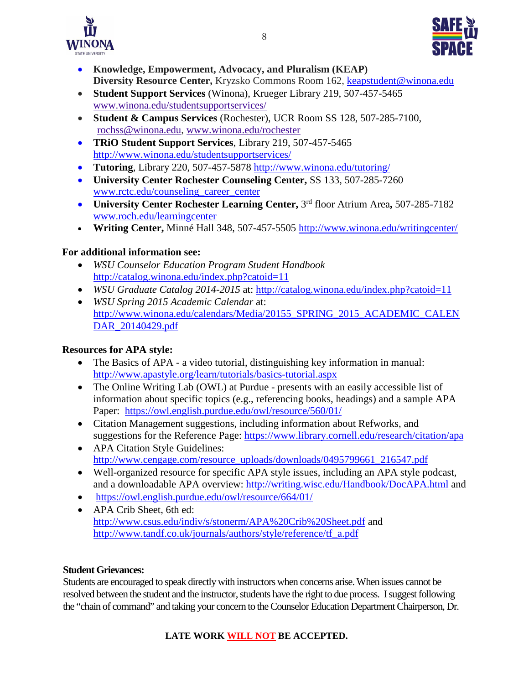



- **Knowledge, Empowerment, Advocacy, and Pluralism (KEAP) Diversity Resource Center,** Kryzsko Commons Room 162, [keapstudent@winona.edu](mailto:keapstudent@winona.edu)
- **Student Support Services** (Winona), Krueger Library 219, 507-457-5465 [www.winona.edu/studentsupportservices/](http://www.winona.edu/studentsupportservices/)
- **Student & Campus Services** (Rochester), UCR Room SS 128, 507-285-7100, [rochss@winona.edu,](mailto:rochss@winona.edu) [www.winona.edu/rochester](http://www.winona.edu/rochester)
- **TRiO Student Support Services**, Library 219, 507-457-5465 <http://www.winona.edu/studentsupportservices/>
- **Tutoring**, Library 220, 507-457-5878<http://www.winona.edu/tutoring/>
- **University Center Rochester Counseling Center,** SS 133, 507-285-7260 [www.rctc.edu/counseling\\_career\\_center](http://www.rctc.edu/counseling_career_center)
- **University Center Rochester Learning Center,** 3rd floor Atrium Area**,** 507-285-7182 [www.roch.edu/learningcenter](http://www.roch.edu/learningcenter)
- **Writing Center,** Minné Hall 348, 507-457-5505<http://www.winona.edu/writingcenter/>

# **For additional information see:**

- *WSU Counselor Education Program Student Handbook*  <http://catalog.winona.edu/index.php?catoid=11>
- *WSU Graduate Catalog 2014-2015* at:<http://catalog.winona.edu/index.php?catoid=11>
- *WSU Spring 2015 Academic Calendar* at: [http://www.winona.edu/calendars/Media/20155\\_SPRING\\_2015\\_ACADEMIC\\_CALEN](http://www.winona.edu/calendars/Media/20155_SPRING_2015_ACADEMIC_CALENDAR_20140429.pdf) [DAR\\_20140429.pdf](http://www.winona.edu/calendars/Media/20155_SPRING_2015_ACADEMIC_CALENDAR_20140429.pdf)

# **Resources for APA style:**

- The Basics of APA a video tutorial, distinguishing key information in manual: <http://www.apastyle.org/learn/tutorials/basics-tutorial.aspx>
- The Online Writing Lab (OWL) at Purdue presents with an easily accessible list of information about specific topics (e.g., referencing books, headings) and a sample APA Paper: <https://owl.english.purdue.edu/owl/resource/560/01/>
- Citation Management suggestions, including information about Refworks, and suggestions for the Reference Page:<https://www.library.cornell.edu/research/citation/apa>
- APA Citation Style Guidelines: http://www.cengage.com/resource\_uploads/downloads/0495799661\_216547.pdf
- Well-organized resource for specific APA style issues, including an APA style podcast, and a downloadable APA overview:<http://writing.wisc.edu/Handbook/DocAPA.html> and
- <https://owl.english.purdue.edu/owl/resource/664/01/>
- APA Crib Sheet, 6th ed: <http://www.csus.edu/indiv/s/stonerm/APA%20Crib%20Sheet.pdf> and [http://www.tandf.co.uk/journals/authors/style/reference/tf\\_a.pdf](http://www.tandf.co.uk/journals/authors/style/reference/tf_a.pdf)

# **Student Grievances:**

Students are encouraged to speak directly with instructors when concerns arise. When issues cannot be resolved between the student and the instructor, students have the right to due process. I suggest following the "chain of command" and taking your concern to the Counselor Education Department Chairperson, Dr.